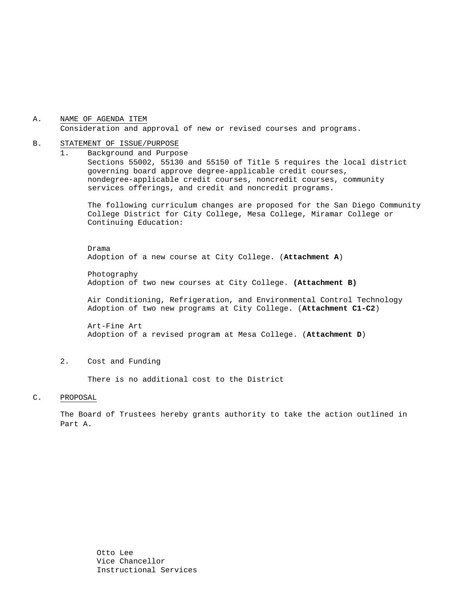#### A. NAME OF AGENDA ITEM Consideration and approval of new or revised courses and programs.

#### B. STATEMENT OF ISSUE/PURPOSE

1. Background and Purpose Sections 55002, 55130 and 55150 of Title 5 requires the local district governing board approve degree-applicable credit courses, nondegree-applicable credit courses, noncredit courses, community services offerings, and credit and noncredit programs.

The following curriculum changes are proposed for the San Diego Community College District for City College, Mesa College, Miramar College or Continuing Education:

 Drama Adoption of a new course at City College. (**Attachment A**)

Photography Adoption of two new courses at City College. **(Attachment B)**

 Air Conditioning, Refrigeration, and Environmental Control Technology Adoption of two new programs at City College. (**Attachment C1-C2**)

Art-Fine Art Adoption of a revised program at Mesa College. (**Attachment D**)

2. Cost and Funding

There is no additional cost to the District

#### C. PROPOSAL

The Board of Trustees hereby grants authority to take the action outlined in Part A.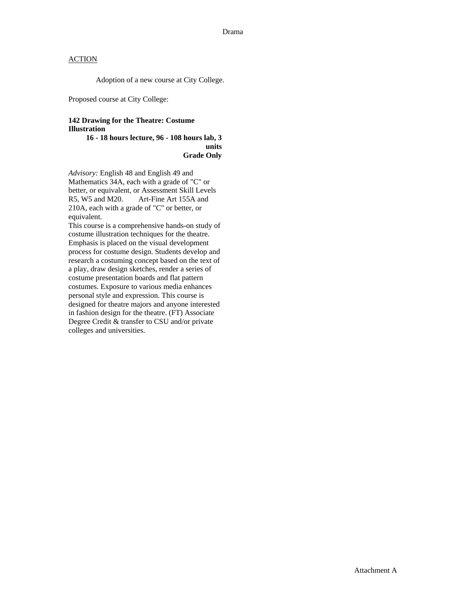### **ACTION**

Adoption of a new course at City College.

Proposed course at City College:

### **142 Drawing for the Theatre: Costume Illustration**

**16 - 18 hours lecture, 96 - 108 hours lab, 3 units Grade Only** 

*Advisory:* English 48 and English 49 and Mathematics 34A, each with a grade of "C" or better, or equivalent, or Assessment Skill Levels R5, W5 and M20. Art-Fine Art 155A and 210A, each with a grade of "C" or better, or equivalent.

This course is a comprehensive hands-on study of costume illustration techniques for the theatre. Emphasis is placed on the visual development process for costume design. Students develop and research a costuming concept based on the text of a play, draw design sketches, render a series of costume presentation boards and flat pattern costumes. Exposure to various media enhances personal style and expression. This course is designed for theatre majors and anyone interested in fashion design for the theatre. (FT) Associate Degree Credit & transfer to CSU and/or private colleges and universities.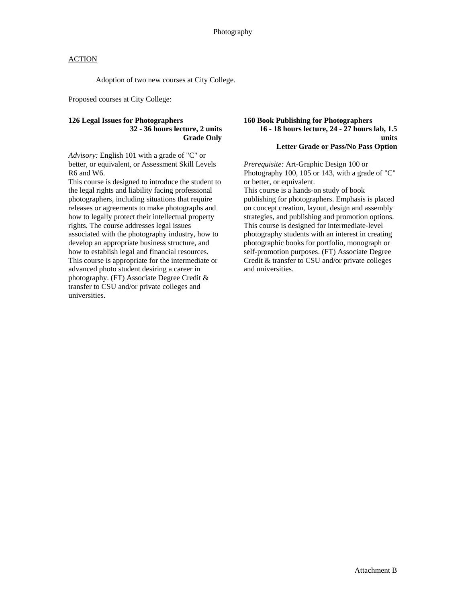### **ACTION**

Adoption of two new courses at City College.

Proposed courses at City College:

### **126 Legal Issues for Photographers 32 - 36 hours lecture, 2 units Grade Only**

*Advisory:* English 101 with a grade of "C" or better, or equivalent, or Assessment Skill Levels R6 and W6.

This course is designed to introduce the student to the legal rights and liability facing professional photographers, including situations that require releases or agreements to make photographs and how to legally protect their intellectual property rights. The course addresses legal issues associated with the photography industry, how to develop an appropriate business structure, and how to establish legal and financial resources. This course is appropriate for the intermediate or advanced photo student desiring a career in photography. (FT) Associate Degree Credit & transfer to CSU and/or private colleges and universities.

#### **160 Book Publishing for Photographers 16 - 18 hours lecture, 24 - 27 hours lab, 1.5 units Letter Grade or Pass/No Pass Option**

*Prerequisite:* Art-Graphic Design 100 or Photography 100, 105 or 143, with a grade of "C" or better, or equivalent.

This course is a hands-on study of book publishing for photographers. Emphasis is placed on concept creation, layout, design and assembly strategies, and publishing and promotion options. This course is designed for intermediate-level photography students with an interest in creating photographic books for portfolio, monograph or self-promotion purposes. (FT) Associate Degree Credit & transfer to CSU and/or private colleges and universities.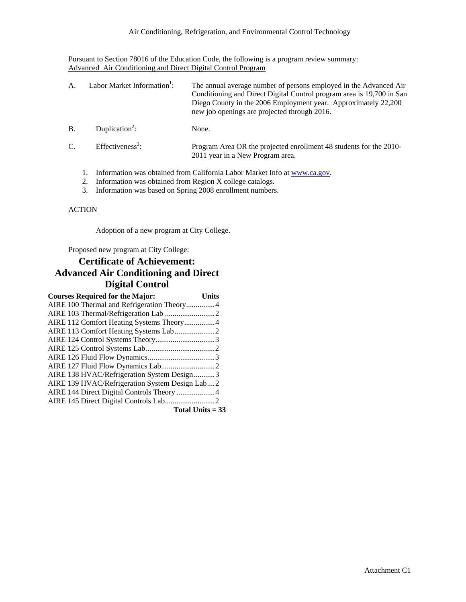Pursuant to Section 78016 of the Education Code, the following is a program review summary: Advanced Air Conditioning and Direct Digital Control Program

| $\mathbf{A}$  |  | Labor Market Information <sup>1</sup> :                                   | The annual average number of persons employed in the Advanced Air<br>Conditioning and Direct Digital Control program area is 19,700 in San<br>Diego County in the 2006 Employment year. Approximately 22,200<br>new job openings are projected through 2016. |
|---------------|--|---------------------------------------------------------------------------|--------------------------------------------------------------------------------------------------------------------------------------------------------------------------------------------------------------------------------------------------------------|
| <b>B</b> .    |  | Duplication <sup>2</sup> :                                                | None.                                                                                                                                                                                                                                                        |
| $\mathcal{C}$ |  | Effectiveness <sup>3</sup> :                                              | Program Area OR the projected enrollment 48 students for the 2010-<br>2011 year in a New Program area.                                                                                                                                                       |
|               |  | Information was obtained from California Labor Market Info at www.ca.gov. |                                                                                                                                                                                                                                                              |

- 2. Information was obtained from Region X college catalogs.
- 3. Information was based on Spring 2008 enrollment numbers.

### **ACTION**

Adoption of a new program at City College.

Proposed new program at City College:

## **Certificate of Achievement: Advanced Air Conditioning and Direct Digital Control**

| <b>Courses Required for the Major:</b>         | Units              |
|------------------------------------------------|--------------------|
| AIRE 100 Thermal and Refrigeration Theory4     |                    |
|                                                |                    |
| AIRE 112 Comfort Heating Systems Theory4       |                    |
|                                                |                    |
|                                                |                    |
|                                                |                    |
|                                                |                    |
|                                                |                    |
| AIRE 138 HVAC/Refrigeration System Design3     |                    |
| AIRE 139 HVAC/Refrigeration System Design Lab2 |                    |
| AIRE 144 Direct Digital Controls Theory 4      |                    |
|                                                |                    |
|                                                | $Total Unite = 22$ |

**Total Units = 33**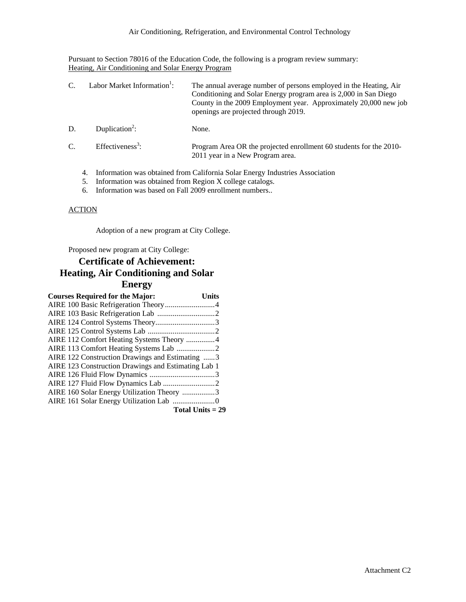Pursuant to Section 78016 of the Education Code, the following is a program review summary: Heating, Air Conditioning and Solar Energy Program

| $C_{\cdot}$ | Labor Market Information <sup>1</sup> : | The annual average number of persons employed in the Heating, Air<br>Conditioning and Solar Energy program area is 2,000 in San Diego<br>County in the 2009 Employment year. Approximately 20,000 new job<br>openings are projected through 2019. |
|-------------|-----------------------------------------|---------------------------------------------------------------------------------------------------------------------------------------------------------------------------------------------------------------------------------------------------|
| D.          | Duplication <sup>2</sup> :              | None.                                                                                                                                                                                                                                             |
| $C_{\cdot}$ | Effectiveness <sup>3</sup> :            | Program Area OR the projected enrollment 60 students for the 2010-<br>2011 year in a New Program area.                                                                                                                                            |
|             | 4.                                      | Information was obtained from California Solar Energy Industries Association                                                                                                                                                                      |

- 5. Information was obtained from Region X college catalogs.
- 6. Information was based on Fall 2009 enrollment numbers..

### **ACTION**

Adoption of a new program at City College.

Proposed new program at City College:

## **Certificate of Achievement: Heating, Air Conditioning and Solar Energy**

| <b>Courses Required for the Major:</b>              | Units |
|-----------------------------------------------------|-------|
|                                                     |       |
|                                                     |       |
|                                                     |       |
|                                                     |       |
| AIRE 112 Comfort Heating Systems Theory 4           |       |
|                                                     |       |
| AIRE 122 Construction Drawings and Estimating 3     |       |
| AIRE 123 Construction Drawings and Estimating Lab 1 |       |
|                                                     |       |
|                                                     |       |
| AIRE 160 Solar Energy Utilization Theory 3          |       |
|                                                     |       |
| Total Units $= 29$                                  |       |